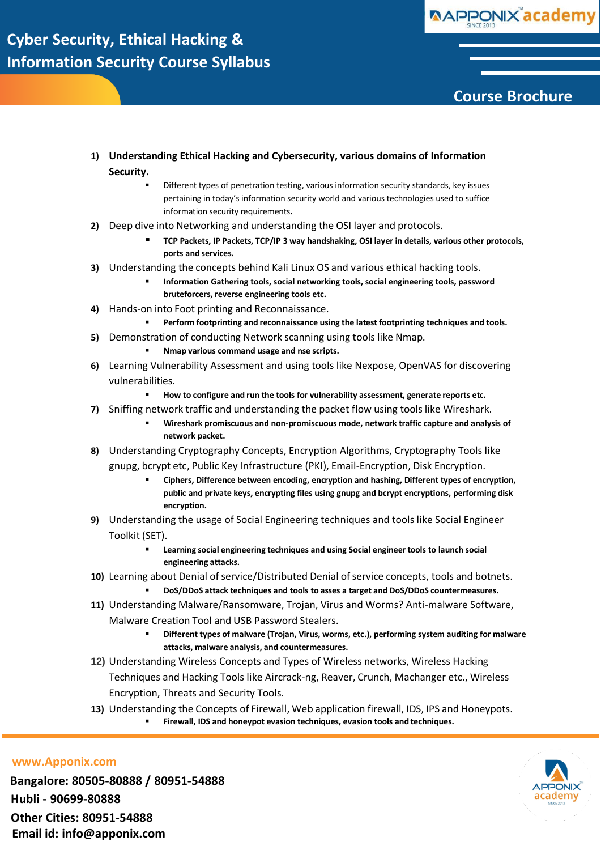

### **Course Brochure**

- **1) Understanding Ethical Hacking and Cybersecurity, various domains of Information Security.**
	- Different types of penetration testing, various information security standards, key issues pertaining in today's information security world and various technologies used to suffice information security requirements**.**
- **2)** Deep dive into Networking and understanding the OSI layer and protocols.
	- **TCP Packets, IP Packets, TCP/IP 3 way handshaking, OSI layer in details, various other protocols, ports and services.**
- **3)** Understanding the concepts behind Kali Linux OS and various ethical hacking tools.
	- **Information Gathering tools, social networking tools, social engineering tools, password bruteforcers, reverse engineering tools etc.**
- **4)** Hands-on into Foot printing and Reconnaissance.
	- **Perform footprinting and reconnaissance using the latest footprinting techniques and tools.**
- **5)** Demonstration of conducting Network scanning using tools like Nmap.
	- **Nmap various command usage and nse scripts.**
- **6)** Learning Vulnerability Assessment and using tools like Nexpose, OpenVAS for discovering vulnerabilities.
	- **How to configure and run the tools for vulnerability assessment, generate reports etc.**
- **7)** Sniffing network traffic and understanding the packet flow using tools like Wireshark.
	- **Wireshark promiscuous and non-promiscuous mode, network traffic capture and analysis of network packet.**
- **8)** Understanding Cryptography Concepts, Encryption Algorithms, Cryptography Tools like gnupg, bcrypt etc, Public Key Infrastructure (PKI), Email-Encryption, Disk Encryption.
	- **Ciphers, Difference between encoding, encryption and hashing, Different types of encryption, public and private keys, encrypting files using gnupg and bcrypt encryptions, performing disk encryption.**
- **9)** Understanding the usage of Social Engineering techniques and tools like Social Engineer Toolkit (SET).
	- **Learning social engineering techniques and using Social engineer tools to launch social engineering attacks.**
- 10) Learning about Denial of service/Distributed Denial of service concepts, tools and botnets.
	- **DoS/DDoS attack techniques and tools to asses a target and DoS/DDoS countermeasures.**
- **11)** Understanding Malware/Ransomware, Trojan, Virus and Worms? Anti-malware Software, Malware Creation Tool and USB Password Stealers.
	- **Different types of malware (Trojan, Virus, worms, etc.), performing system auditing for malware attacks, malware analysis, and countermeasures.**
- **12)** Understanding Wireless Concepts and Types of Wireless networks, Wireless Hacking Techniques and Hacking Tools like Aircrack-ng, Reaver, Crunch, Machanger etc., Wireless Encryption, Threats and Security Tools.
- **13)** Understanding the Concepts of Firewall, Web application firewall, IDS, IPS and Honeypots. **Firewall, IDS and honeypot evasion techniques, evasion tools and techniques.**

**[www.Apponix.com](http://www.apponix.com/)**

**Bangalore: 80505-80888 / 80951-54888 Hubli - 90699-80888 Other Cities: 80951-54888 Email id: [info@apponix.com](mailto:info@apponix.com)**

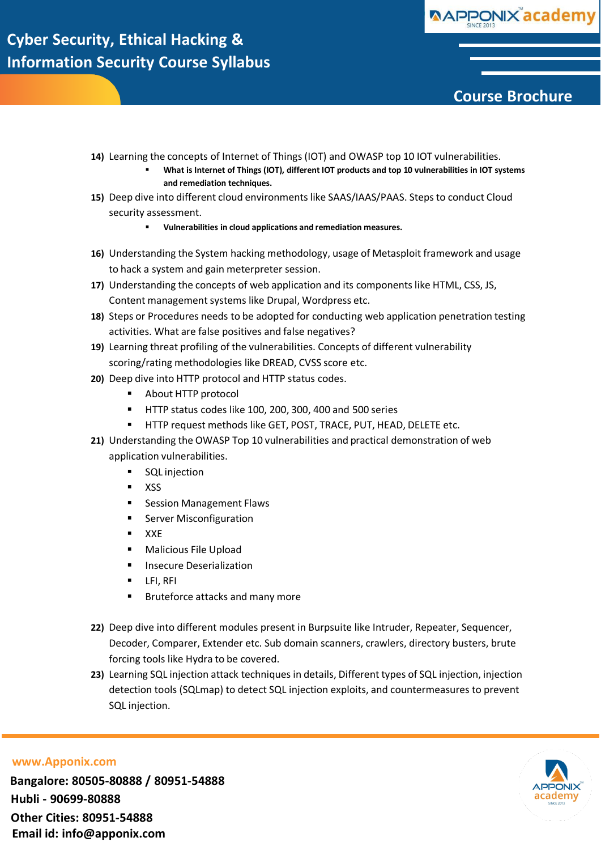

# **Course Brochure**

- **14)** Learning the concepts of Internet of Things (IOT) and OWASP top 10 IOT vulnerabilities.
	- **What is Internet of Things (IOT), different IOT products and top 10 vulnerabilities in IOT systems and remediation techniques.**
- **15)** Deep dive into different cloud environments like SAAS/IAAS/PAAS. Steps to conduct Cloud security assessment.
	- **Vulnerabilities in cloud applications and remediation measures.**
- **16)** Understanding the System hacking methodology, usage of Metasploit framework and usage to hack a system and gain meterpreter session.
- **17)** Understanding the concepts of web application and its components like HTML, CSS, JS, Content management systems like Drupal, Wordpress etc.
- **18)** Steps or Procedures needs to be adopted for conducting web application penetration testing activities. What are false positives and false negatives?
- **19)** Learning threat profiling of the vulnerabilities. Concepts of different vulnerability scoring/rating methodologies like DREAD, CVSS score etc.
- **20)** Deep dive into HTTP protocol and HTTP status codes.
	- About HTTP protocol
	- HTTP status codes like 100, 200, 300, 400 and 500 series
	- HTTP request methods like GET, POST, TRACE, PUT, HEAD, DELETE etc.
- **21)** Understanding the OWASP Top 10 vulnerabilities and practical demonstration of web application vulnerabilities.
	- **SQL** injection
	- **xss**
	- **Session Management Flaws**
	- **Server Misconfiguration**
	- $\blacksquare$  XXE
	- **Nalicious File Upload**
	- **Insecure Deserialization**
	- **LFI, RFI**
	- **Bruteforce attacks and many more**
- **22)** Deep dive into different modules present in Burpsuite like Intruder, Repeater, Sequencer, Decoder, Comparer, Extender etc. Sub domain scanners, crawlers, directory busters, brute forcing tools like Hydra to be covered.
- **23)** Learning SQL injection attack techniques in details, Different types of SQL injection, injection detection tools (SQLmap) to detect SQL injection exploits, and countermeasures to prevent SQL injection.



### **[www.Apponix.com](http://www.apponix.com/)**

**Bangalore: 80505-80888 / 80951-54888 Hubli - 90699-80888 Other Cities: 80951-54888 Email id: [info@apponix.com](mailto:info@apponix.com)**